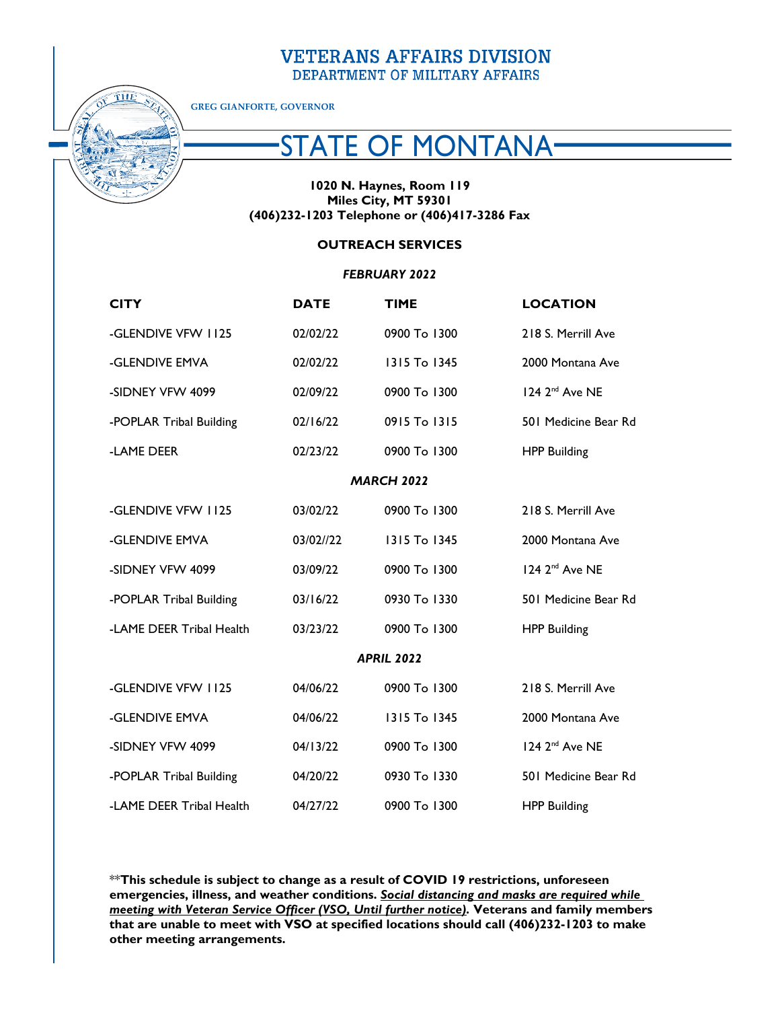## **VETERANS AFFAIRS DIVISION** DEPARTMENT OF MILITARY AFFAIRS



**GREG GIANFORTE, GOVERNOR**

# STATE OF MONTANA

### **1020 N. Haynes, Room 119 Miles City, MT 59301 (406)232-1203 Telephone or (406)417-3286 Fax**

### **OUTREACH SERVICES**

#### *FEBRUARY 2022*

| <b>CITY</b>              | <b>DATE</b> | <b>TIME</b>  | <b>LOCATION</b>            |
|--------------------------|-------------|--------------|----------------------------|
| -GLENDIVE VFW 1125       | 02/02/22    | 0900 To 1300 | 218 S. Merrill Ave         |
| -GLENDIVE EMVA           | 02/02/22    | 1315 To 1345 | 2000 Montana Ave           |
| -SIDNEY VFW 4099         | 02/09/22    | 0900 To 1300 | 124 2 <sup>nd</sup> Ave NE |
| -POPLAR Tribal Building  | 02/16/22    | 0915 To 1315 | 501 Medicine Bear Rd       |
| -LAME DEER               | 02/23/22    | 0900 To 1300 | <b>HPP Building</b>        |
| <b>MARCH 2022</b>        |             |              |                            |
| -GLENDIVE VFW 1125       | 03/02/22    | 0900 To 1300 | 218 S. Merrill Ave         |
| -GLENDIVE EMVA           | 03/02//22   | 1315 To 1345 | 2000 Montana Ave           |
| -SIDNEY VFW 4099         | 03/09/22    | 0900 To 1300 | 124 2 <sup>nd</sup> Ave NE |
| -POPLAR Tribal Building  | 03/16/22    | 0930 To 1330 | 501 Medicine Bear Rd       |
| -LAME DEER Tribal Health | 03/23/22    | 0900 To 1300 | <b>HPP Building</b>        |
| <b>APRIL 2022</b>        |             |              |                            |
| -GLENDIVE VFW 1125       | 04/06/22    | 0900 To 1300 | 218 S. Merrill Ave         |
| -GLENDIVE EMVA           | 04/06/22    | 1315 To 1345 | 2000 Montana Ave           |
| -SIDNEY VFW 4099         | 04/13/22    | 0900 To 1300 | 124 2 <sup>nd</sup> Ave NE |
| -POPLAR Tribal Building  | 04/20/22    | 0930 To 1330 | 501 Medicine Bear Rd       |
| -LAME DEER Tribal Health | 04/27/22    | 0900 To 1300 | <b>HPP Building</b>        |

\*\***This schedule is subject to change as a result of COVID 19 restrictions, unforeseen emergencies, illness, and weather conditions.** *Social distancing and masks are required while meeting with Veteran Service Officer (VSO, Until further notice).* **Veterans and family members that are unable to meet with VSO at specified locations should call (406)232-1203 to make other meeting arrangements.**